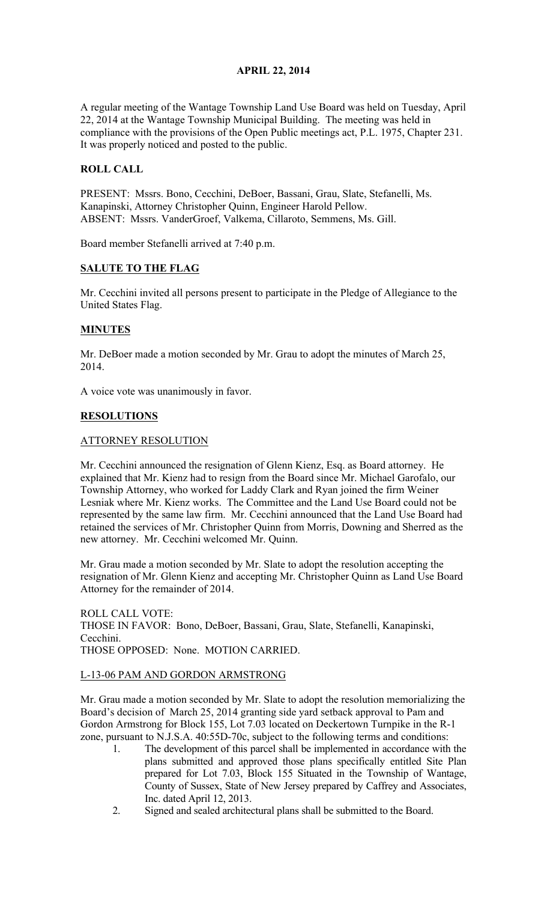# APRIL 22, 2014

A regular meeting of the Wantage Township Land Use Board was held on Tuesday, April 22, 2014 at the Wantage Township Municipal Building. The meeting was held in compliance with the provisions of the Open Public meetings act, P.L. 1975, Chapter 231. It was properly noticed and posted to the public.

# ROLL CALL

PRESENT: Mssrs. Bono, Cecchini, DeBoer, Bassani, Grau, Slate, Stefanelli, Ms. Kanapinski, Attorney Christopher Quinn, Engineer Harold Pellow. ABSENT: Mssrs. VanderGroef, Valkema, Cillaroto, Semmens, Ms. Gill.

Board member Stefanelli arrived at 7:40 p.m.

### SALUTE TO THE FLAG

Mr. Cecchini invited all persons present to participate in the Pledge of Allegiance to the United States Flag.

# MINUTES

Mr. DeBoer made a motion seconded by Mr. Grau to adopt the minutes of March 25, 2014.

A voice vote was unanimously in favor.

# RESOLUTIONS

### ATTORNEY RESOLUTION

Mr. Cecchini announced the resignation of Glenn Kienz, Esq. as Board attorney. He explained that Mr. Kienz had to resign from the Board since Mr. Michael Garofalo, our Township Attorney, who worked for Laddy Clark and Ryan joined the firm Weiner Lesniak where Mr. Kienz works. The Committee and the Land Use Board could not be represented by the same law firm. Mr. Cecchini announced that the Land Use Board had retained the services of Mr. Christopher Quinn from Morris, Downing and Sherred as the new attorney. Mr. Cecchini welcomed Mr. Quinn.

Mr. Grau made a motion seconded by Mr. Slate to adopt the resolution accepting the resignation of Mr. Glenn Kienz and accepting Mr. Christopher Quinn as Land Use Board Attorney for the remainder of 2014.

ROLL CALL VOTE: THOSE IN FAVOR: Bono, DeBoer, Bassani, Grau, Slate, Stefanelli, Kanapinski, Cecchini. THOSE OPPOSED: None. MOTION CARRIED.

### L-13-06 PAM AND GORDON ARMSTRONG

Mr. Grau made a motion seconded by Mr. Slate to adopt the resolution memorializing the Board's decision of March 25, 2014 granting side yard setback approval to Pam and Gordon Armstrong for Block 155, Lot 7.03 located on Deckertown Turnpike in the R-1 zone, pursuant to N.J.S.A. 40:55D-70c, subject to the following terms and conditions:

- 1. The development of this parcel shall be implemented in accordance with the plans submitted and approved those plans specifically entitled Site Plan prepared for Lot 7.03, Block 155 Situated in the Township of Wantage, County of Sussex, State of New Jersey prepared by Caffrey and Associates, Inc. dated April 12, 2013.
- 2. Signed and sealed architectural plans shall be submitted to the Board.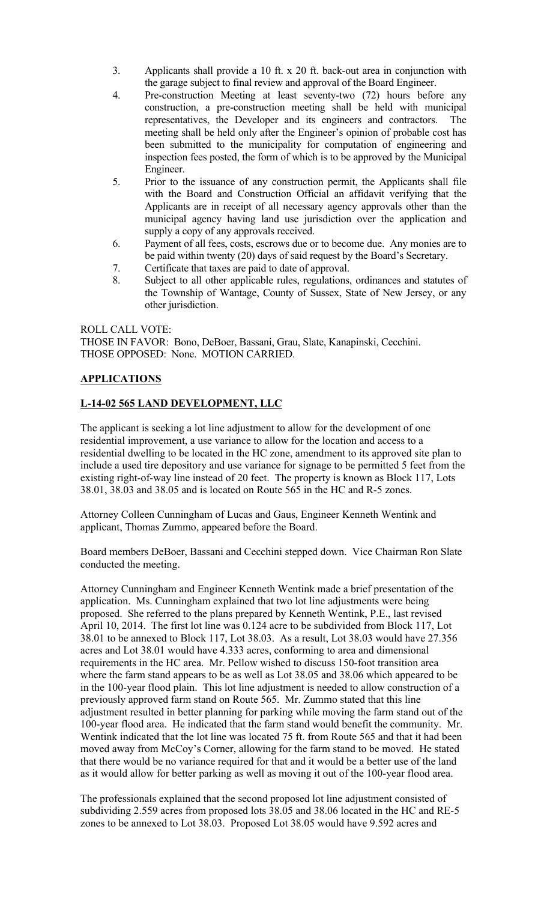- 3. Applicants shall provide a 10 ft. x 20 ft. back-out area in conjunction with the garage subject to final review and approval of the Board Engineer.
- 4. Pre-construction Meeting at least seventy-two (72) hours before any construction, a pre-construction meeting shall be held with municipal representatives, the Developer and its engineers and contractors. The meeting shall be held only after the Engineer's opinion of probable cost has been submitted to the municipality for computation of engineering and inspection fees posted, the form of which is to be approved by the Municipal Engineer.
- 5. Prior to the issuance of any construction permit, the Applicants shall file with the Board and Construction Official an affidavit verifying that the Applicants are in receipt of all necessary agency approvals other than the municipal agency having land use jurisdiction over the application and supply a copy of any approvals received.
- 6. Payment of all fees, costs, escrows due or to become due. Any monies are to be paid within twenty (20) days of said request by the Board's Secretary.
- 7. Certificate that taxes are paid to date of approval.
- 8. Subject to all other applicable rules, regulations, ordinances and statutes of the Township of Wantage, County of Sussex, State of New Jersey, or any other jurisdiction.

### ROLL CALL VOTE:

THOSE IN FAVOR: Bono, DeBoer, Bassani, Grau, Slate, Kanapinski, Cecchini. THOSE OPPOSED: None. MOTION CARRIED.

### **APPLICATIONS**

### L-14-02 565 LAND DEVELOPMENT, LLC

The applicant is seeking a lot line adjustment to allow for the development of one residential improvement, a use variance to allow for the location and access to a residential dwelling to be located in the HC zone, amendment to its approved site plan to include a used tire depository and use variance for signage to be permitted 5 feet from the existing right-of-way line instead of 20 feet. The property is known as Block 117, Lots 38.01, 38.03 and 38.05 and is located on Route 565 in the HC and R-5 zones.

Attorney Colleen Cunningham of Lucas and Gaus, Engineer Kenneth Wentink and applicant, Thomas Zummo, appeared before the Board.

Board members DeBoer, Bassani and Cecchini stepped down. Vice Chairman Ron Slate conducted the meeting.

Attorney Cunningham and Engineer Kenneth Wentink made a brief presentation of the application. Ms. Cunningham explained that two lot line adjustments were being proposed. She referred to the plans prepared by Kenneth Wentink, P.E., last revised April 10, 2014. The first lot line was 0.124 acre to be subdivided from Block 117, Lot 38.01 to be annexed to Block 117, Lot 38.03. As a result, Lot 38.03 would have 27.356 acres and Lot 38.01 would have 4.333 acres, conforming to area and dimensional requirements in the HC area. Mr. Pellow wished to discuss 150-foot transition area where the farm stand appears to be as well as Lot 38.05 and 38.06 which appeared to be in the 100-year flood plain. This lot line adjustment is needed to allow construction of a previously approved farm stand on Route 565. Mr. Zummo stated that this line adjustment resulted in better planning for parking while moving the farm stand out of the 100-year flood area. He indicated that the farm stand would benefit the community. Mr. Wentink indicated that the lot line was located 75 ft. from Route 565 and that it had been moved away from McCoy's Corner, allowing for the farm stand to be moved. He stated that there would be no variance required for that and it would be a better use of the land as it would allow for better parking as well as moving it out of the 100-year flood area.

The professionals explained that the second proposed lot line adjustment consisted of subdividing 2.559 acres from proposed lots 38.05 and 38.06 located in the HC and RE-5 zones to be annexed to Lot 38.03. Proposed Lot 38.05 would have 9.592 acres and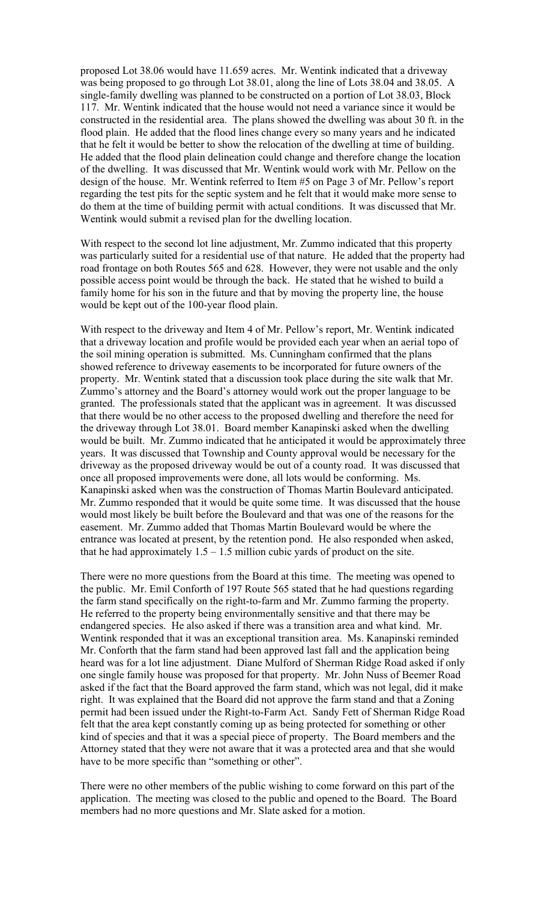proposed Lot 38.06 would have 11.659 acres. Mr. Wentink indicated that a driveway was being proposed to go through Lot 38.01, along the line of Lots 38.04 and 38.05. A single-family dwelling was planned to be constructed on a portion of Lot 38.03, Block 117. Mr. Wentink indicated that the house would not need a variance since it would be constructed in the residential area. The plans showed the dwelling was about 30 ft. in the flood plain. He added that the flood lines change every so many years and he indicated that he felt it would be better to show the relocation of the dwelling at time of building. He added that the flood plain delineation could change and therefore change the location of the dwelling. It was discussed that Mr. Wentink would work with Mr. Pellow on the design of the house. Mr. Wentink referred to Item #5 on Page 3 of Mr. Pellow's report regarding the test pits for the septic system and he felt that it would make more sense to do them at the time of building permit with actual conditions. It was discussed that Mr. Wentink would submit a revised plan for the dwelling location.

With respect to the second lot line adjustment, Mr. Zummo indicated that this property was particularly suited for a residential use of that nature. He added that the property had road frontage on both Routes 565 and 628. However, they were not usable and the only possible access point would be through the back. He stated that he wished to build a family home for his son in the future and that by moving the property line, the house would be kept out of the 100-year flood plain.

With respect to the driveway and Item 4 of Mr. Pellow's report, Mr. Wentink indicated that a driveway location and profile would be provided each year when an aerial topo of the soil mining operation is submitted. Ms. Cunningham confirmed that the plans showed reference to driveway easements to be incorporated for future owners of the property. Mr. Wentink stated that a discussion took place during the site walk that Mr. Zummo's attorney and the Board's attorney would work out the proper language to be granted. The professionals stated that the applicant was in agreement. It was discussed that there would be no other access to the proposed dwelling and therefore the need for the driveway through Lot 38.01. Board member Kanapinski asked when the dwelling would be built. Mr. Zummo indicated that he anticipated it would be approximately three years. It was discussed that Township and County approval would be necessary for the driveway as the proposed driveway would be out of a county road. It was discussed that once all proposed improvements were done, all lots would be conforming. Ms. Kanapinski asked when was the construction of Thomas Martin Boulevard anticipated. Mr. Zummo responded that it would be quite some time. It was discussed that the house would most likely be built before the Boulevard and that was one of the reasons for the easement. Mr. Zummo added that Thomas Martin Boulevard would be where the entrance was located at present, by the retention pond. He also responded when asked, that he had approximately  $1.5 - 1.5$  million cubic yards of product on the site.

There were no more questions from the Board at this time. The meeting was opened to the public. Mr. Emil Conforth of 197 Route 565 stated that he had questions regarding the farm stand specifically on the right-to-farm and Mr. Zummo farming the property. He referred to the property being environmentally sensitive and that there may be endangered species. He also asked if there was a transition area and what kind. Mr. Wentink responded that it was an exceptional transition area. Ms. Kanapinski reminded Mr. Conforth that the farm stand had been approved last fall and the application being heard was for a lot line adjustment. Diane Mulford of Sherman Ridge Road asked if only one single family house was proposed for that property. Mr. John Nuss of Beemer Road asked if the fact that the Board approved the farm stand, which was not legal, did it make right. It was explained that the Board did not approve the farm stand and that a Zoning permit had been issued under the Right-to-Farm Act. Sandy Fett of Sherman Ridge Road felt that the area kept constantly coming up as being protected for something or other kind of species and that it was a special piece of property. The Board members and the Attorney stated that they were not aware that it was a protected area and that she would have to be more specific than "something or other".

There were no other members of the public wishing to come forward on this part of the application. The meeting was closed to the public and opened to the Board. The Board members had no more questions and Mr. Slate asked for a motion.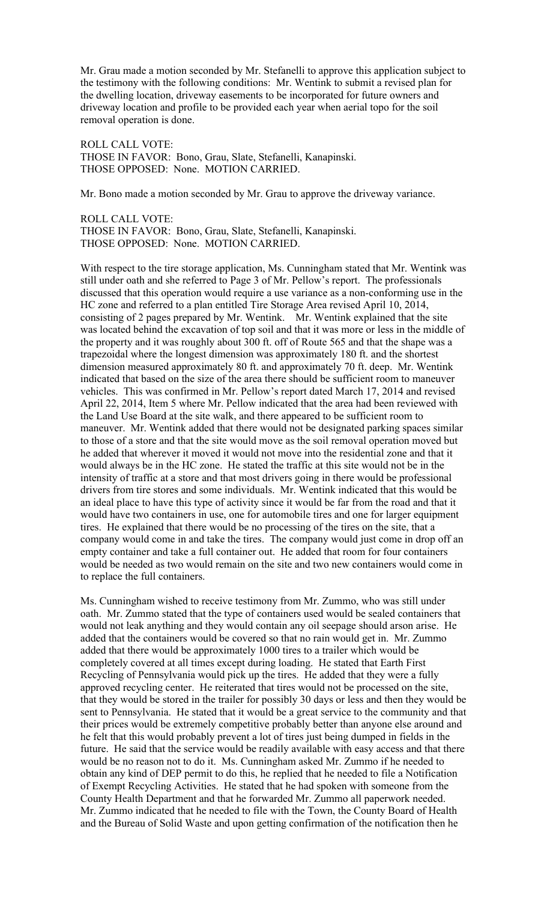Mr. Grau made a motion seconded by Mr. Stefanelli to approve this application subject to the testimony with the following conditions: Mr. Wentink to submit a revised plan for the dwelling location, driveway easements to be incorporated for future owners and driveway location and profile to be provided each year when aerial topo for the soil removal operation is done.

ROLL CALL VOTE: THOSE IN FAVOR: Bono, Grau, Slate, Stefanelli, Kanapinski. THOSE OPPOSED: None. MOTION CARRIED.

Mr. Bono made a motion seconded by Mr. Grau to approve the driveway variance.

ROLL CALL VOTE: THOSE IN FAVOR: Bono, Grau, Slate, Stefanelli, Kanapinski. THOSE OPPOSED: None. MOTION CARRIED.

With respect to the tire storage application, Ms. Cunningham stated that Mr. Wentink was still under oath and she referred to Page 3 of Mr. Pellow's report. The professionals discussed that this operation would require a use variance as a non-conforming use in the HC zone and referred to a plan entitled Tire Storage Area revised April 10, 2014, consisting of 2 pages prepared by Mr. Wentink. Mr. Wentink explained that the site was located behind the excavation of top soil and that it was more or less in the middle of the property and it was roughly about 300 ft. off of Route 565 and that the shape was a trapezoidal where the longest dimension was approximately 180 ft. and the shortest dimension measured approximately 80 ft. and approximately 70 ft. deep. Mr. Wentink indicated that based on the size of the area there should be sufficient room to maneuver vehicles. This was confirmed in Mr. Pellow's report dated March 17, 2014 and revised April 22, 2014, Item 5 where Mr. Pellow indicated that the area had been reviewed with the Land Use Board at the site walk, and there appeared to be sufficient room to maneuver. Mr. Wentink added that there would not be designated parking spaces similar to those of a store and that the site would move as the soil removal operation moved but he added that wherever it moved it would not move into the residential zone and that it would always be in the HC zone. He stated the traffic at this site would not be in the intensity of traffic at a store and that most drivers going in there would be professional drivers from tire stores and some individuals. Mr. Wentink indicated that this would be an ideal place to have this type of activity since it would be far from the road and that it would have two containers in use, one for automobile tires and one for larger equipment tires. He explained that there would be no processing of the tires on the site, that a company would come in and take the tires. The company would just come in drop off an empty container and take a full container out. He added that room for four containers would be needed as two would remain on the site and two new containers would come in to replace the full containers.

Ms. Cunningham wished to receive testimony from Mr. Zummo, who was still under oath. Mr. Zummo stated that the type of containers used would be sealed containers that would not leak anything and they would contain any oil seepage should arson arise. He added that the containers would be covered so that no rain would get in. Mr. Zummo added that there would be approximately 1000 tires to a trailer which would be completely covered at all times except during loading. He stated that Earth First Recycling of Pennsylvania would pick up the tires. He added that they were a fully approved recycling center. He reiterated that tires would not be processed on the site, that they would be stored in the trailer for possibly 30 days or less and then they would be sent to Pennsylvania. He stated that it would be a great service to the community and that their prices would be extremely competitive probably better than anyone else around and he felt that this would probably prevent a lot of tires just being dumped in fields in the future. He said that the service would be readily available with easy access and that there would be no reason not to do it. Ms. Cunningham asked Mr. Zummo if he needed to obtain any kind of DEP permit to do this, he replied that he needed to file a Notification of Exempt Recycling Activities. He stated that he had spoken with someone from the County Health Department and that he forwarded Mr. Zummo all paperwork needed. Mr. Zummo indicated that he needed to file with the Town, the County Board of Health and the Bureau of Solid Waste and upon getting confirmation of the notification then he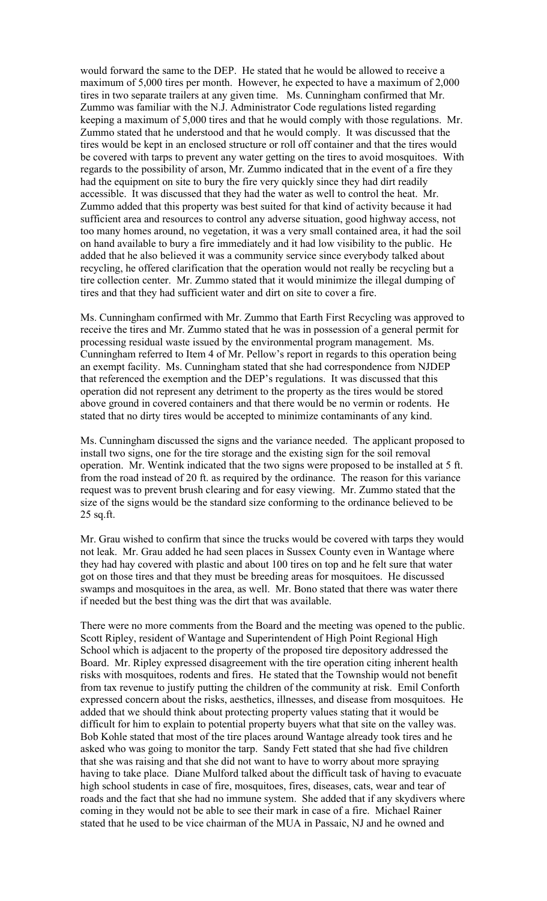would forward the same to the DEP. He stated that he would be allowed to receive a maximum of 5,000 tires per month. However, he expected to have a maximum of 2,000 tires in two separate trailers at any given time. Ms. Cunningham confirmed that Mr. Zummo was familiar with the N.J. Administrator Code regulations listed regarding keeping a maximum of 5,000 tires and that he would comply with those regulations. Mr. Zummo stated that he understood and that he would comply. It was discussed that the tires would be kept in an enclosed structure or roll off container and that the tires would be covered with tarps to prevent any water getting on the tires to avoid mosquitoes. With regards to the possibility of arson, Mr. Zummo indicated that in the event of a fire they had the equipment on site to bury the fire very quickly since they had dirt readily accessible. It was discussed that they had the water as well to control the heat. Mr. Zummo added that this property was best suited for that kind of activity because it had sufficient area and resources to control any adverse situation, good highway access, not too many homes around, no vegetation, it was a very small contained area, it had the soil on hand available to bury a fire immediately and it had low visibility to the public. He added that he also believed it was a community service since everybody talked about recycling, he offered clarification that the operation would not really be recycling but a tire collection center. Mr. Zummo stated that it would minimize the illegal dumping of tires and that they had sufficient water and dirt on site to cover a fire.

Ms. Cunningham confirmed with Mr. Zummo that Earth First Recycling was approved to receive the tires and Mr. Zummo stated that he was in possession of a general permit for processing residual waste issued by the environmental program management. Ms. Cunningham referred to Item 4 of Mr. Pellow's report in regards to this operation being an exempt facility. Ms. Cunningham stated that she had correspondence from NJDEP that referenced the exemption and the DEP's regulations. It was discussed that this operation did not represent any detriment to the property as the tires would be stored above ground in covered containers and that there would be no vermin or rodents. He stated that no dirty tires would be accepted to minimize contaminants of any kind.

Ms. Cunningham discussed the signs and the variance needed. The applicant proposed to install two signs, one for the tire storage and the existing sign for the soil removal operation. Mr. Wentink indicated that the two signs were proposed to be installed at 5 ft. from the road instead of 20 ft. as required by the ordinance. The reason for this variance request was to prevent brush clearing and for easy viewing. Mr. Zummo stated that the size of the signs would be the standard size conforming to the ordinance believed to be 25 sq.ft.

Mr. Grau wished to confirm that since the trucks would be covered with tarps they would not leak. Mr. Grau added he had seen places in Sussex County even in Wantage where they had hay covered with plastic and about 100 tires on top and he felt sure that water got on those tires and that they must be breeding areas for mosquitoes. He discussed swamps and mosquitoes in the area, as well. Mr. Bono stated that there was water there if needed but the best thing was the dirt that was available.

There were no more comments from the Board and the meeting was opened to the public. Scott Ripley, resident of Wantage and Superintendent of High Point Regional High School which is adjacent to the property of the proposed tire depository addressed the Board. Mr. Ripley expressed disagreement with the tire operation citing inherent health risks with mosquitoes, rodents and fires. He stated that the Township would not benefit from tax revenue to justify putting the children of the community at risk. Emil Conforth expressed concern about the risks, aesthetics, illnesses, and disease from mosquitoes. He added that we should think about protecting property values stating that it would be difficult for him to explain to potential property buyers what that site on the valley was. Bob Kohle stated that most of the tire places around Wantage already took tires and he asked who was going to monitor the tarp. Sandy Fett stated that she had five children that she was raising and that she did not want to have to worry about more spraying having to take place. Diane Mulford talked about the difficult task of having to evacuate high school students in case of fire, mosquitoes, fires, diseases, cats, wear and tear of roads and the fact that she had no immune system. She added that if any skydivers where coming in they would not be able to see their mark in case of a fire. Michael Rainer stated that he used to be vice chairman of the MUA in Passaic, NJ and he owned and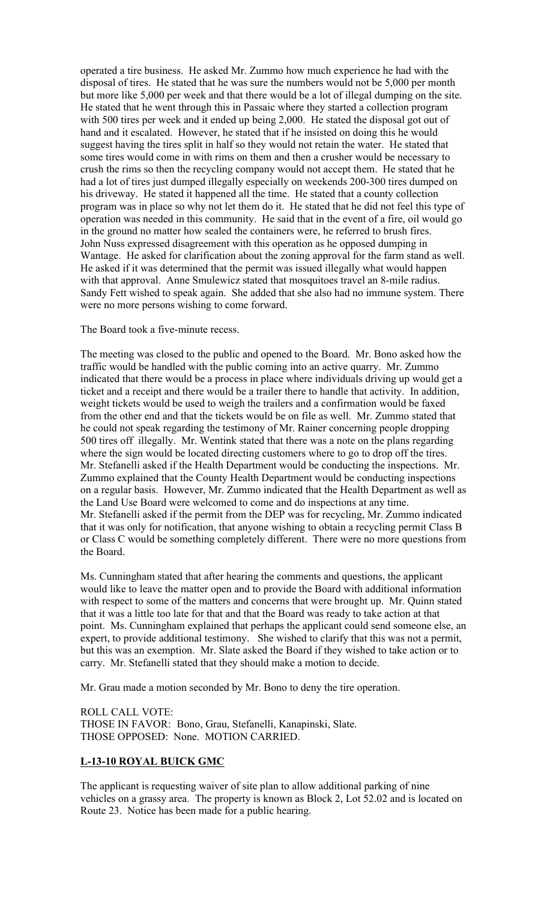operated a tire business. He asked Mr. Zummo how much experience he had with the disposal of tires. He stated that he was sure the numbers would not be 5,000 per month but more like 5,000 per week and that there would be a lot of illegal dumping on the site. He stated that he went through this in Passaic where they started a collection program with 500 tires per week and it ended up being 2,000. He stated the disposal got out of hand and it escalated. However, he stated that if he insisted on doing this he would suggest having the tires split in half so they would not retain the water. He stated that some tires would come in with rims on them and then a crusher would be necessary to crush the rims so then the recycling company would not accept them. He stated that he had a lot of tires just dumped illegally especially on weekends 200-300 tires dumped on his driveway. He stated it happened all the time. He stated that a county collection program was in place so why not let them do it. He stated that he did not feel this type of operation was needed in this community. He said that in the event of a fire, oil would go in the ground no matter how sealed the containers were, he referred to brush fires. John Nuss expressed disagreement with this operation as he opposed dumping in Wantage. He asked for clarification about the zoning approval for the farm stand as well. He asked if it was determined that the permit was issued illegally what would happen with that approval. Anne Smulewicz stated that mosquitoes travel an 8-mile radius. Sandy Fett wished to speak again. She added that she also had no immune system. There were no more persons wishing to come forward.

#### The Board took a five-minute recess.

The meeting was closed to the public and opened to the Board. Mr. Bono asked how the traffic would be handled with the public coming into an active quarry. Mr. Zummo indicated that there would be a process in place where individuals driving up would get a ticket and a receipt and there would be a trailer there to handle that activity. In addition, weight tickets would be used to weigh the trailers and a confirmation would be faxed from the other end and that the tickets would be on file as well. Mr. Zummo stated that he could not speak regarding the testimony of Mr. Rainer concerning people dropping 500 tires off illegally. Mr. Wentink stated that there was a note on the plans regarding where the sign would be located directing customers where to go to drop off the tires. Mr. Stefanelli asked if the Health Department would be conducting the inspections. Mr. Zummo explained that the County Health Department would be conducting inspections on a regular basis. However, Mr. Zummo indicated that the Health Department as well as the Land Use Board were welcomed to come and do inspections at any time. Mr. Stefanelli asked if the permit from the DEP was for recycling, Mr. Zummo indicated that it was only for notification, that anyone wishing to obtain a recycling permit Class B or Class C would be something completely different. There were no more questions from the Board.

Ms. Cunningham stated that after hearing the comments and questions, the applicant would like to leave the matter open and to provide the Board with additional information with respect to some of the matters and concerns that were brought up. Mr. Quinn stated that it was a little too late for that and that the Board was ready to take action at that point. Ms. Cunningham explained that perhaps the applicant could send someone else, an expert, to provide additional testimony. She wished to clarify that this was not a permit, but this was an exemption. Mr. Slate asked the Board if they wished to take action or to carry. Mr. Stefanelli stated that they should make a motion to decide.

Mr. Grau made a motion seconded by Mr. Bono to deny the tire operation.

ROLL CALL VOTE: THOSE IN FAVOR: Bono, Grau, Stefanelli, Kanapinski, Slate. THOSE OPPOSED: None. MOTION CARRIED.

### L-13-10 ROYAL BUICK GMC

The applicant is requesting waiver of site plan to allow additional parking of nine vehicles on a grassy area. The property is known as Block 2, Lot 52.02 and is located on Route 23. Notice has been made for a public hearing.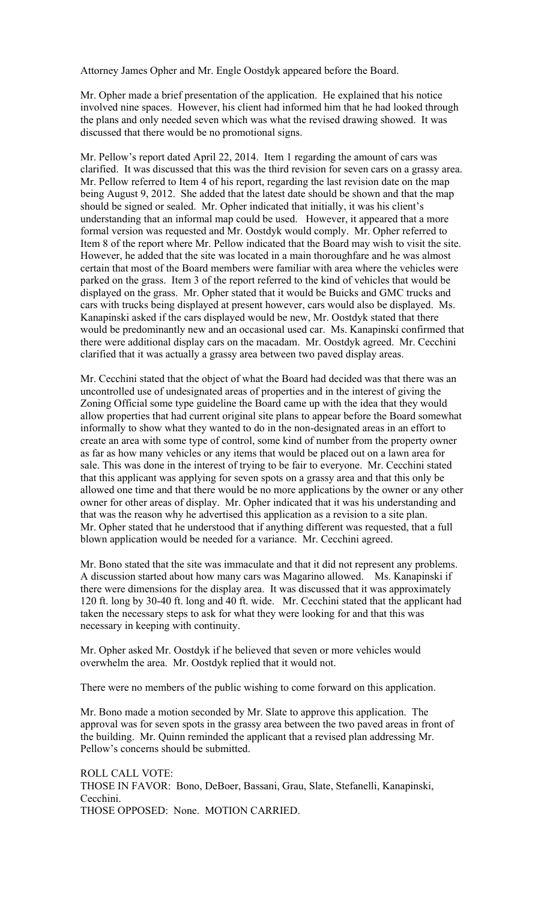Attorney James Opher and Mr. Engle Oostdyk appeared before the Board.

Mr. Opher made a brief presentation of the application. He explained that his notice involved nine spaces. However, his client had informed him that he had looked through the plans and only needed seven which was what the revised drawing showed. It was discussed that there would be no promotional signs.

Mr. Pellow's report dated April 22, 2014. Item 1 regarding the amount of cars was clarified. It was discussed that this was the third revision for seven cars on a grassy area. Mr. Pellow referred to Item 4 of his report, regarding the last revision date on the map being August 9, 2012. She added that the latest date should be shown and that the map should be signed or sealed. Mr. Opher indicated that initially, it was his client's understanding that an informal map could be used. However, it appeared that a more formal version was requested and Mr. Oostdyk would comply. Mr. Opher referred to Item 8 of the report where Mr. Pellow indicated that the Board may wish to visit the site. However, he added that the site was located in a main thoroughfare and he was almost certain that most of the Board members were familiar with area where the vehicles were parked on the grass. Item 3 of the report referred to the kind of vehicles that would be displayed on the grass. Mr. Opher stated that it would be Buicks and GMC trucks and cars with trucks being displayed at present however, cars would also be displayed. Ms. Kanapinski asked if the cars displayed would be new, Mr. Oostdyk stated that there would be predominantly new and an occasional used car. Ms. Kanapinski confirmed that there were additional display cars on the macadam. Mr. Oostdyk agreed. Mr. Cecchini clarified that it was actually a grassy area between two paved display areas.

Mr. Cecchini stated that the object of what the Board had decided was that there was an uncontrolled use of undesignated areas of properties and in the interest of giving the Zoning Official some type guideline the Board came up with the idea that they would allow properties that had current original site plans to appear before the Board somewhat informally to show what they wanted to do in the non-designated areas in an effort to create an area with some type of control, some kind of number from the property owner as far as how many vehicles or any items that would be placed out on a lawn area for sale. This was done in the interest of trying to be fair to everyone. Mr. Cecchini stated that this applicant was applying for seven spots on a grassy area and that this only be allowed one time and that there would be no more applications by the owner or any other owner for other areas of display. Mr. Opher indicated that it was his understanding and that was the reason why he advertised this application as a revision to a site plan. Mr. Opher stated that he understood that if anything different was requested, that a full blown application would be needed for a variance. Mr. Cecchini agreed.

Mr. Bono stated that the site was immaculate and that it did not represent any problems. A discussion started about how many cars was Magarino allowed. Ms. Kanapinski if there were dimensions for the display area. It was discussed that it was approximately 120 ft. long by 30-40 ft. long and 40 ft. wide. Mr. Cecchini stated that the applicant had taken the necessary steps to ask for what they were looking for and that this was necessary in keeping with continuity.

Mr. Opher asked Mr. Oostdyk if he believed that seven or more vehicles would overwhelm the area. Mr. Oostdyk replied that it would not.

There were no members of the public wishing to come forward on this application.

Mr. Bono made a motion seconded by Mr. Slate to approve this application. The approval was for seven spots in the grassy area between the two paved areas in front of the building. Mr. Quinn reminded the applicant that a revised plan addressing Mr. Pellow's concerns should be submitted.

ROLL CALL VOTE: THOSE IN FAVOR: Bono, DeBoer, Bassani, Grau, Slate, Stefanelli, Kanapinski, Cecchini. THOSE OPPOSED: None. MOTION CARRIED.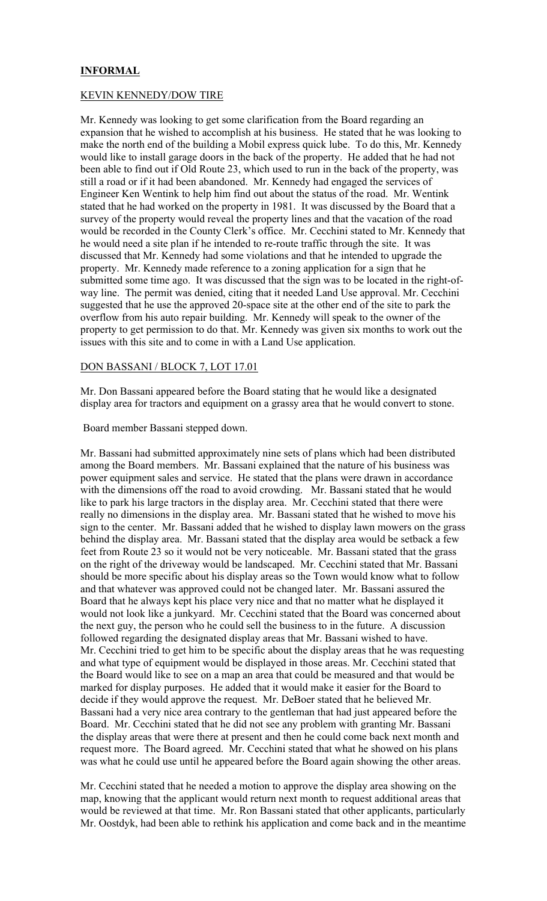# INFORMAL

#### KEVIN KENNEDY/DOW TIRE

Mr. Kennedy was looking to get some clarification from the Board regarding an expansion that he wished to accomplish at his business. He stated that he was looking to make the north end of the building a Mobil express quick lube. To do this, Mr. Kennedy would like to install garage doors in the back of the property. He added that he had not been able to find out if Old Route 23, which used to run in the back of the property, was still a road or if it had been abandoned. Mr. Kennedy had engaged the services of Engineer Ken Wentink to help him find out about the status of the road. Mr. Wentink stated that he had worked on the property in 1981. It was discussed by the Board that a survey of the property would reveal the property lines and that the vacation of the road would be recorded in the County Clerk's office. Mr. Cecchini stated to Mr. Kennedy that he would need a site plan if he intended to re-route traffic through the site. It was discussed that Mr. Kennedy had some violations and that he intended to upgrade the property. Mr. Kennedy made reference to a zoning application for a sign that he submitted some time ago. It was discussed that the sign was to be located in the right-ofway line. The permit was denied, citing that it needed Land Use approval. Mr. Cecchini suggested that he use the approved 20-space site at the other end of the site to park the overflow from his auto repair building. Mr. Kennedy will speak to the owner of the property to get permission to do that. Mr. Kennedy was given six months to work out the issues with this site and to come in with a Land Use application.

#### DON BASSANI / BLOCK 7, LOT 17.01

Mr. Don Bassani appeared before the Board stating that he would like a designated display area for tractors and equipment on a grassy area that he would convert to stone.

Board member Bassani stepped down.

Mr. Bassani had submitted approximately nine sets of plans which had been distributed among the Board members. Mr. Bassani explained that the nature of his business was power equipment sales and service. He stated that the plans were drawn in accordance with the dimensions off the road to avoid crowding. Mr. Bassani stated that he would like to park his large tractors in the display area. Mr. Cecchini stated that there were really no dimensions in the display area. Mr. Bassani stated that he wished to move his sign to the center. Mr. Bassani added that he wished to display lawn mowers on the grass behind the display area. Mr. Bassani stated that the display area would be setback a few feet from Route 23 so it would not be very noticeable. Mr. Bassani stated that the grass on the right of the driveway would be landscaped. Mr. Cecchini stated that Mr. Bassani should be more specific about his display areas so the Town would know what to follow and that whatever was approved could not be changed later. Mr. Bassani assured the Board that he always kept his place very nice and that no matter what he displayed it would not look like a junkyard. Mr. Cecchini stated that the Board was concerned about the next guy, the person who he could sell the business to in the future. A discussion followed regarding the designated display areas that Mr. Bassani wished to have. Mr. Cecchini tried to get him to be specific about the display areas that he was requesting and what type of equipment would be displayed in those areas. Mr. Cecchini stated that the Board would like to see on a map an area that could be measured and that would be marked for display purposes. He added that it would make it easier for the Board to decide if they would approve the request. Mr. DeBoer stated that he believed Mr. Bassani had a very nice area contrary to the gentleman that had just appeared before the Board. Mr. Cecchini stated that he did not see any problem with granting Mr. Bassani the display areas that were there at present and then he could come back next month and request more. The Board agreed. Mr. Cecchini stated that what he showed on his plans was what he could use until he appeared before the Board again showing the other areas.

Mr. Cecchini stated that he needed a motion to approve the display area showing on the map, knowing that the applicant would return next month to request additional areas that would be reviewed at that time. Mr. Ron Bassani stated that other applicants, particularly Mr. Oostdyk, had been able to rethink his application and come back and in the meantime